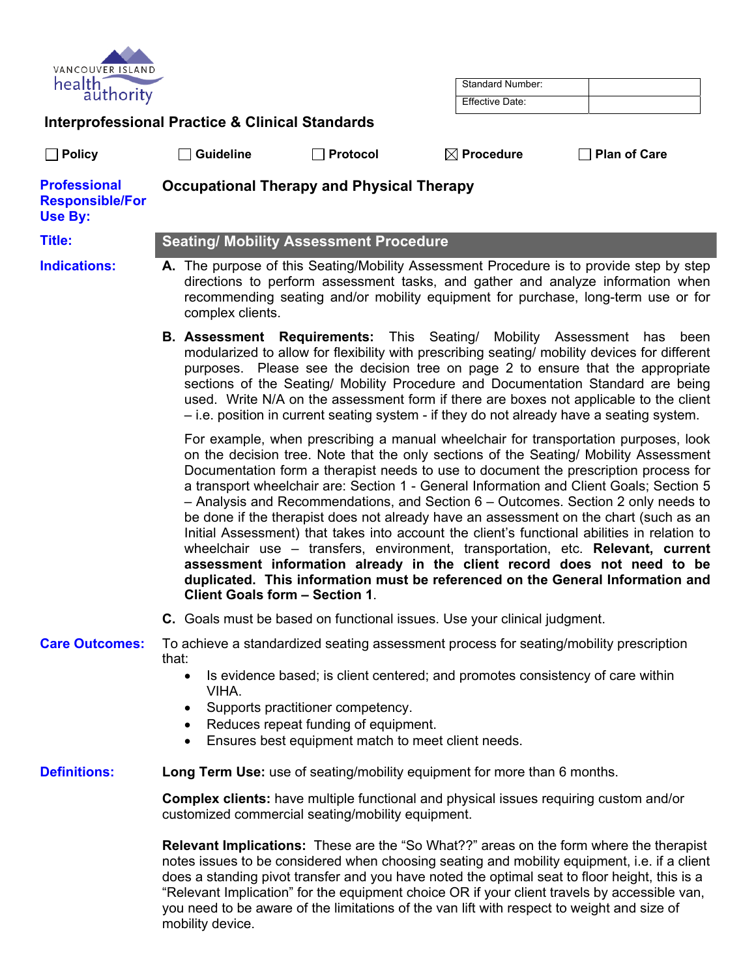| VANCOUVER ISLAND<br>health,<br>authority                        |                                                                                                                                                                                                                                                                                                                                                                                                                                                                                                                                            |                                                                                                                                 | Standard Number:<br><b>Effective Date:</b>                                                 |                                                                                                                                                                                                                                                                                                                                                                                                                                                                                                                                                                                                                                                                                                                                                                                                                                                                                                   |
|-----------------------------------------------------------------|--------------------------------------------------------------------------------------------------------------------------------------------------------------------------------------------------------------------------------------------------------------------------------------------------------------------------------------------------------------------------------------------------------------------------------------------------------------------------------------------------------------------------------------------|---------------------------------------------------------------------------------------------------------------------------------|--------------------------------------------------------------------------------------------|---------------------------------------------------------------------------------------------------------------------------------------------------------------------------------------------------------------------------------------------------------------------------------------------------------------------------------------------------------------------------------------------------------------------------------------------------------------------------------------------------------------------------------------------------------------------------------------------------------------------------------------------------------------------------------------------------------------------------------------------------------------------------------------------------------------------------------------------------------------------------------------------------|
|                                                                 | <b>Interprofessional Practice &amp; Clinical Standards</b>                                                                                                                                                                                                                                                                                                                                                                                                                                                                                 |                                                                                                                                 |                                                                                            |                                                                                                                                                                                                                                                                                                                                                                                                                                                                                                                                                                                                                                                                                                                                                                                                                                                                                                   |
| $\Box$ Policy                                                   | $\sqcap$ Guideline                                                                                                                                                                                                                                                                                                                                                                                                                                                                                                                         | Protocol                                                                                                                        | $\boxtimes$ Procedure                                                                      | <b>Plan of Care</b>                                                                                                                                                                                                                                                                                                                                                                                                                                                                                                                                                                                                                                                                                                                                                                                                                                                                               |
| <b>Professional</b><br><b>Responsible/For</b><br><b>Use By:</b> |                                                                                                                                                                                                                                                                                                                                                                                                                                                                                                                                            | <b>Occupational Therapy and Physical Therapy</b>                                                                                |                                                                                            |                                                                                                                                                                                                                                                                                                                                                                                                                                                                                                                                                                                                                                                                                                                                                                                                                                                                                                   |
| <b>Title:</b>                                                   |                                                                                                                                                                                                                                                                                                                                                                                                                                                                                                                                            | <b>Seating/ Mobility Assessment Procedure</b>                                                                                   |                                                                                            |                                                                                                                                                                                                                                                                                                                                                                                                                                                                                                                                                                                                                                                                                                                                                                                                                                                                                                   |
| <b>Indications:</b>                                             | A. The purpose of this Seating/Mobility Assessment Procedure is to provide step by step<br>directions to perform assessment tasks, and gather and analyze information when<br>recommending seating and/or mobility equipment for purchase, long-term use or for<br>complex clients.                                                                                                                                                                                                                                                        |                                                                                                                                 |                                                                                            |                                                                                                                                                                                                                                                                                                                                                                                                                                                                                                                                                                                                                                                                                                                                                                                                                                                                                                   |
|                                                                 | <b>B. Assessment Requirements:</b> This Seating/<br>Mobility Assessment has<br>modularized to allow for flexibility with prescribing seating/ mobility devices for different<br>purposes. Please see the decision tree on page 2 to ensure that the appropriate<br>sections of the Seating/ Mobility Procedure and Documentation Standard are being<br>used. Write N/A on the assessment form if there are boxes not applicable to the client<br>- i.e. position in current seating system - if they do not already have a seating system. |                                                                                                                                 |                                                                                            | been                                                                                                                                                                                                                                                                                                                                                                                                                                                                                                                                                                                                                                                                                                                                                                                                                                                                                              |
|                                                                 |                                                                                                                                                                                                                                                                                                                                                                                                                                                                                                                                            | Client Goals form - Section 1.                                                                                                  |                                                                                            | For example, when prescribing a manual wheelchair for transportation purposes, look<br>on the decision tree. Note that the only sections of the Seating/ Mobility Assessment<br>Documentation form a therapist needs to use to document the prescription process for<br>a transport wheelchair are: Section 1 - General Information and Client Goals; Section 5<br>$-$ Analysis and Recommendations, and Section $6 -$ Outcomes. Section 2 only needs to<br>be done if the therapist does not already have an assessment on the chart (such as an<br>Initial Assessment) that takes into account the client's functional abilities in relation to<br>wheelchair use - transfers, environment, transportation, etc. Relevant, current<br>assessment information already in the client record does not need to be<br>duplicated. This information must be referenced on the General Information and |
|                                                                 |                                                                                                                                                                                                                                                                                                                                                                                                                                                                                                                                            |                                                                                                                                 | C. Goals must be based on functional issues. Use your clinical judgment.                   |                                                                                                                                                                                                                                                                                                                                                                                                                                                                                                                                                                                                                                                                                                                                                                                                                                                                                                   |
| <b>Care Outcomes:</b>                                           |                                                                                                                                                                                                                                                                                                                                                                                                                                                                                                                                            |                                                                                                                                 | To achieve a standardized seating assessment process for seating/mobility prescription     |                                                                                                                                                                                                                                                                                                                                                                                                                                                                                                                                                                                                                                                                                                                                                                                                                                                                                                   |
|                                                                 | that:<br>$\bullet$<br>VIHA.<br>$\bullet$<br>$\bullet$<br>$\bullet$                                                                                                                                                                                                                                                                                                                                                                                                                                                                         | Supports practitioner competency.<br>Reduces repeat funding of equipment.<br>Ensures best equipment match to meet client needs. | Is evidence based; is client centered; and promotes consistency of care within             |                                                                                                                                                                                                                                                                                                                                                                                                                                                                                                                                                                                                                                                                                                                                                                                                                                                                                                   |
| <b>Definitions:</b>                                             |                                                                                                                                                                                                                                                                                                                                                                                                                                                                                                                                            |                                                                                                                                 | Long Term Use: use of seating/mobility equipment for more than 6 months.                   |                                                                                                                                                                                                                                                                                                                                                                                                                                                                                                                                                                                                                                                                                                                                                                                                                                                                                                   |
|                                                                 | Complex clients: have multiple functional and physical issues requiring custom and/or<br>customized commercial seating/mobility equipment.                                                                                                                                                                                                                                                                                                                                                                                                 |                                                                                                                                 |                                                                                            |                                                                                                                                                                                                                                                                                                                                                                                                                                                                                                                                                                                                                                                                                                                                                                                                                                                                                                   |
|                                                                 | mobility device.                                                                                                                                                                                                                                                                                                                                                                                                                                                                                                                           |                                                                                                                                 | you need to be aware of the limitations of the van lift with respect to weight and size of | <b>Relevant Implications:</b> These are the "So What??" areas on the form where the therapist<br>notes issues to be considered when choosing seating and mobility equipment, i.e. if a client<br>does a standing pivot transfer and you have noted the optimal seat to floor height, this is a<br>"Relevant Implication" for the equipment choice OR if your client travels by accessible van,                                                                                                                                                                                                                                                                                                                                                                                                                                                                                                    |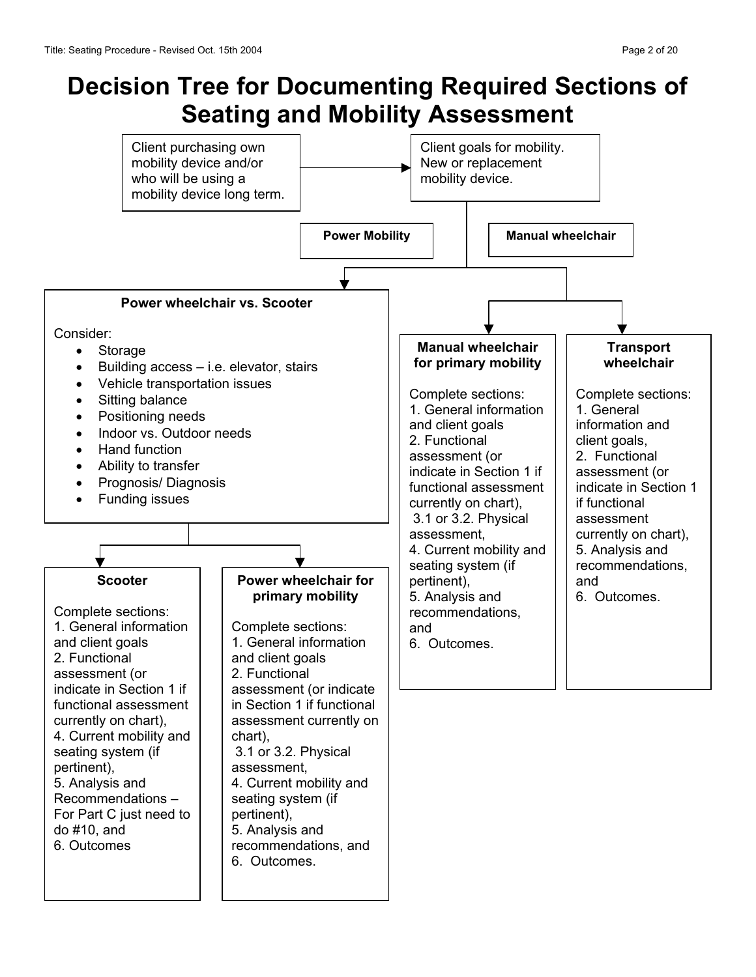# **Decision Tree for Documenting Required Sections of Seating and Mobility Assessment**

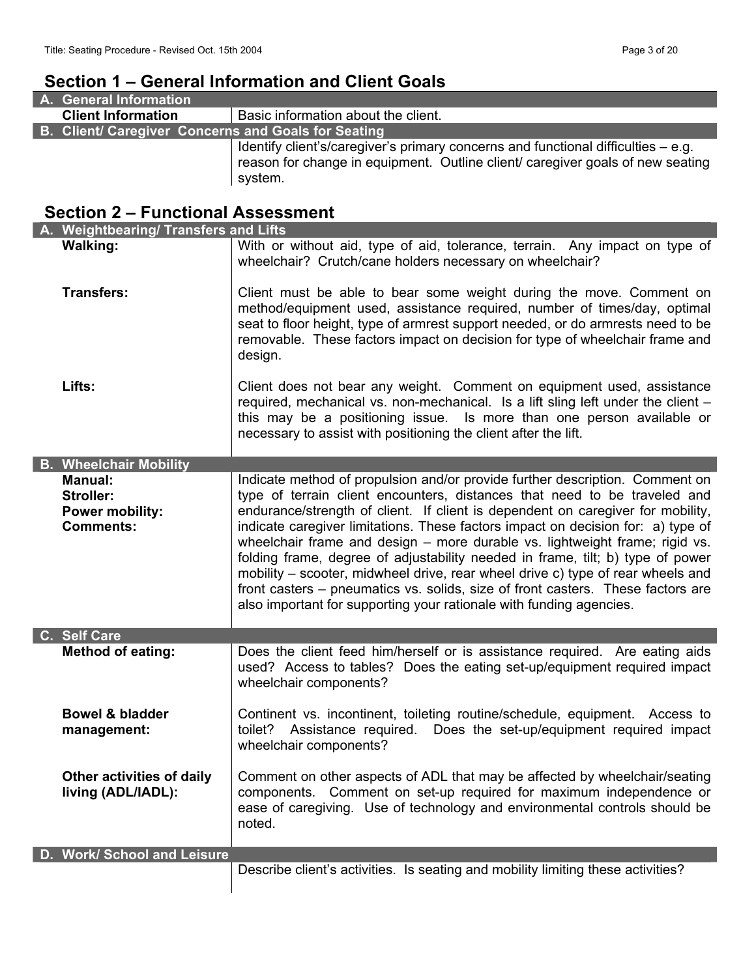# **Section 1 – General Information and Client Goals**

| A. General Information                              |                                                                                                                                                                                |
|-----------------------------------------------------|--------------------------------------------------------------------------------------------------------------------------------------------------------------------------------|
| <b>Client Information</b>                           | Basic information about the client.                                                                                                                                            |
| B. Client/ Caregiver Concerns and Goals for Seating |                                                                                                                                                                                |
|                                                     | Identify client's/caregiver's primary concerns and functional difficulties – e.g.<br>reason for change in equipment. Outline client/ caregiver goals of new seating<br>system. |

# **Section 2 – Functional Assessment**

| A. Weightbearing/ Transfers and Lifts           |                                                                                                                                                                                                                                                                                                                                                                                                            |
|-------------------------------------------------|------------------------------------------------------------------------------------------------------------------------------------------------------------------------------------------------------------------------------------------------------------------------------------------------------------------------------------------------------------------------------------------------------------|
| <b>Walking:</b>                                 | With or without aid, type of aid, tolerance, terrain. Any impact on type of<br>wheelchair? Crutch/cane holders necessary on wheelchair?                                                                                                                                                                                                                                                                    |
| <b>Transfers:</b>                               | Client must be able to bear some weight during the move. Comment on<br>method/equipment used, assistance required, number of times/day, optimal<br>seat to floor height, type of armrest support needed, or do armrests need to be<br>removable. These factors impact on decision for type of wheelchair frame and<br>design.                                                                              |
| Lifts:                                          | Client does not bear any weight. Comment on equipment used, assistance<br>required, mechanical vs. non-mechanical. Is a lift sling left under the client -<br>this may be a positioning issue. Is more than one person available or<br>necessary to assist with positioning the client after the lift.                                                                                                     |
| <b>B. Wheelchair Mobility</b>                   |                                                                                                                                                                                                                                                                                                                                                                                                            |
| <b>Manual:</b>                                  | Indicate method of propulsion and/or provide further description. Comment on                                                                                                                                                                                                                                                                                                                               |
| <b>Stroller:</b><br><b>Power mobility:</b>      | type of terrain client encounters, distances that need to be traveled and<br>endurance/strength of client. If client is dependent on caregiver for mobility,                                                                                                                                                                                                                                               |
| <b>Comments:</b>                                | indicate caregiver limitations. These factors impact on decision for: a) type of                                                                                                                                                                                                                                                                                                                           |
|                                                 | wheelchair frame and design - more durable vs. lightweight frame; rigid vs.<br>folding frame, degree of adjustability needed in frame, tilt; b) type of power<br>mobility – scooter, midwheel drive, rear wheel drive c) type of rear wheels and<br>front casters – pneumatics vs. solids, size of front casters. These factors are<br>also important for supporting your rationale with funding agencies. |
| C. Self Care                                    |                                                                                                                                                                                                                                                                                                                                                                                                            |
| <b>Method of eating:</b>                        | Does the client feed him/herself or is assistance required. Are eating aids<br>used? Access to tables? Does the eating set-up/equipment required impact<br>wheelchair components?                                                                                                                                                                                                                          |
| <b>Bowel &amp; bladder</b><br>management:       | Continent vs. incontinent, toileting routine/schedule, equipment. Access to<br>toilet? Assistance required.<br>Does the set-up/equipment required impact<br>wheelchair components?                                                                                                                                                                                                                         |
| Other activities of daily<br>living (ADL/IADL): | Comment on other aspects of ADL that may be affected by wheelchair/seating<br>Comment on set-up required for maximum independence or<br>components.<br>ease of caregiving. Use of technology and environmental controls should be<br>noted.                                                                                                                                                                |
| D. Work/ School and Leisure                     |                                                                                                                                                                                                                                                                                                                                                                                                            |
|                                                 | Describe client's activities. Is seating and mobility limiting these activities?                                                                                                                                                                                                                                                                                                                           |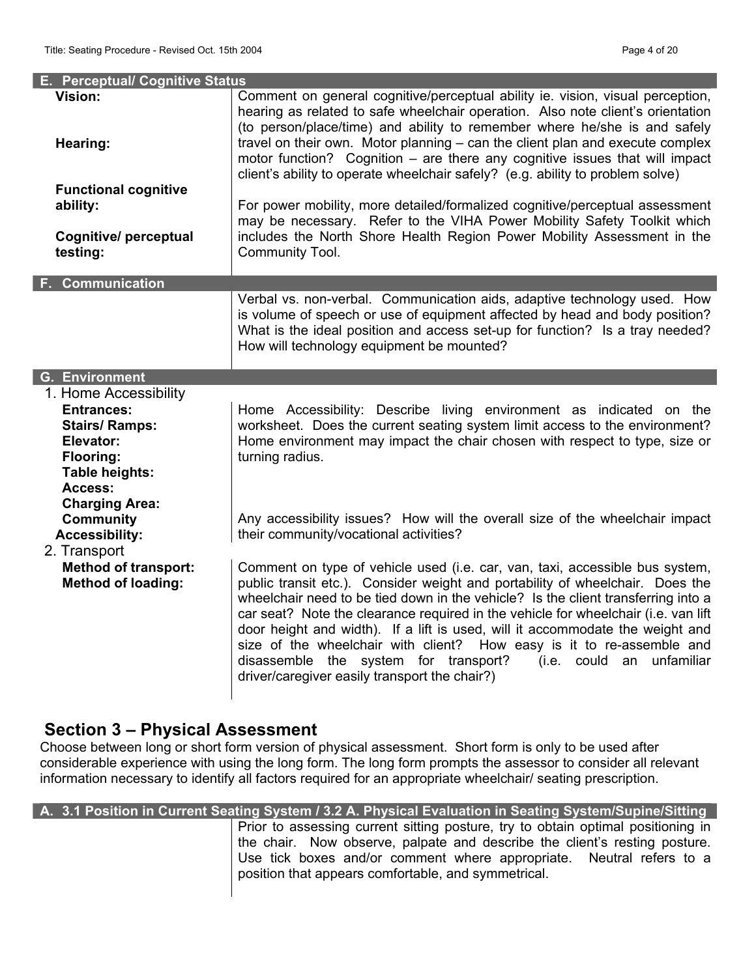| E. Perceptual/ Cognitive Status                                                                                                   |                                                                                                                                                                                                                                                                                                                                                                                                                                                                                                                                                                                                                              |
|-----------------------------------------------------------------------------------------------------------------------------------|------------------------------------------------------------------------------------------------------------------------------------------------------------------------------------------------------------------------------------------------------------------------------------------------------------------------------------------------------------------------------------------------------------------------------------------------------------------------------------------------------------------------------------------------------------------------------------------------------------------------------|
| <b>Vision:</b><br>Hearing:                                                                                                        | Comment on general cognitive/perceptual ability ie. vision, visual perception,<br>hearing as related to safe wheelchair operation. Also note client's orientation<br>(to person/place/time) and ability to remember where he/she is and safely<br>travel on their own. Motor planning – can the client plan and execute complex<br>motor function? Cognition - are there any cognitive issues that will impact<br>client's ability to operate wheelchair safely? (e.g. ability to problem solve)                                                                                                                             |
| <b>Functional cognitive</b>                                                                                                       |                                                                                                                                                                                                                                                                                                                                                                                                                                                                                                                                                                                                                              |
| ability:                                                                                                                          | For power mobility, more detailed/formalized cognitive/perceptual assessment<br>may be necessary. Refer to the VIHA Power Mobility Safety Toolkit which                                                                                                                                                                                                                                                                                                                                                                                                                                                                      |
| Cognitive/ perceptual<br>testing:                                                                                                 | includes the North Shore Health Region Power Mobility Assessment in the<br>Community Tool.                                                                                                                                                                                                                                                                                                                                                                                                                                                                                                                                   |
| <b>F. Communication</b>                                                                                                           |                                                                                                                                                                                                                                                                                                                                                                                                                                                                                                                                                                                                                              |
|                                                                                                                                   | Verbal vs. non-verbal. Communication aids, adaptive technology used. How<br>is volume of speech or use of equipment affected by head and body position?<br>What is the ideal position and access set-up for function? Is a tray needed?<br>How will technology equipment be mounted?                                                                                                                                                                                                                                                                                                                                         |
| <b>G.</b> Environment                                                                                                             |                                                                                                                                                                                                                                                                                                                                                                                                                                                                                                                                                                                                                              |
| 1. Home Accessibility<br><b>Entrances:</b><br><b>Stairs/ Ramps:</b><br>Elevator:<br><b>Flooring:</b><br>Table heights:<br>Access: | Home Accessibility: Describe living environment as indicated on the<br>worksheet. Does the current seating system limit access to the environment?<br>Home environment may impact the chair chosen with respect to type, size or<br>turning radius.                                                                                                                                                                                                                                                                                                                                                                          |
| <b>Charging Area:</b><br><b>Community</b><br><b>Accessibility:</b><br>2. Transport                                                | Any accessibility issues? How will the overall size of the wheelchair impact<br>their community/vocational activities?                                                                                                                                                                                                                                                                                                                                                                                                                                                                                                       |
| <b>Method of transport:</b><br><b>Method of loading:</b>                                                                          | Comment on type of vehicle used (i.e. car, van, taxi, accessible bus system,<br>public transit etc.). Consider weight and portability of wheelchair. Does the<br>wheelchair need to be tied down in the vehicle? Is the client transferring into a<br>car seat? Note the clearance required in the vehicle for wheelchair (i.e. van lift<br>door height and width). If a lift is used, will it accommodate the weight and<br>size of the wheelchair with client? How easy is it to re-assemble and<br>disassemble the system for transport?<br>(i.e. could an<br>unfamiliar<br>driver/caregiver easily transport the chair?) |

# **Section 3 – Physical Assessment**

Choose between long or short form version of physical assessment. Short form is only to be used after considerable experience with using the long form. The long form prompts the assessor to consider all relevant information necessary to identify all factors required for an appropriate wheelchair/ seating prescription.

| A. 3.1 Position in Current Seating System / 3.2 A. Physical Evaluation in Seating System/Supine/Sitting                                                                                                                                                                                       |
|-----------------------------------------------------------------------------------------------------------------------------------------------------------------------------------------------------------------------------------------------------------------------------------------------|
| Prior to assessing current sitting posture, try to obtain optimal positioning in<br>the chair. Now observe, palpate and describe the client's resting posture.<br>Use tick boxes and/or comment where appropriate. Neutral refers to a<br>position that appears comfortable, and symmetrical. |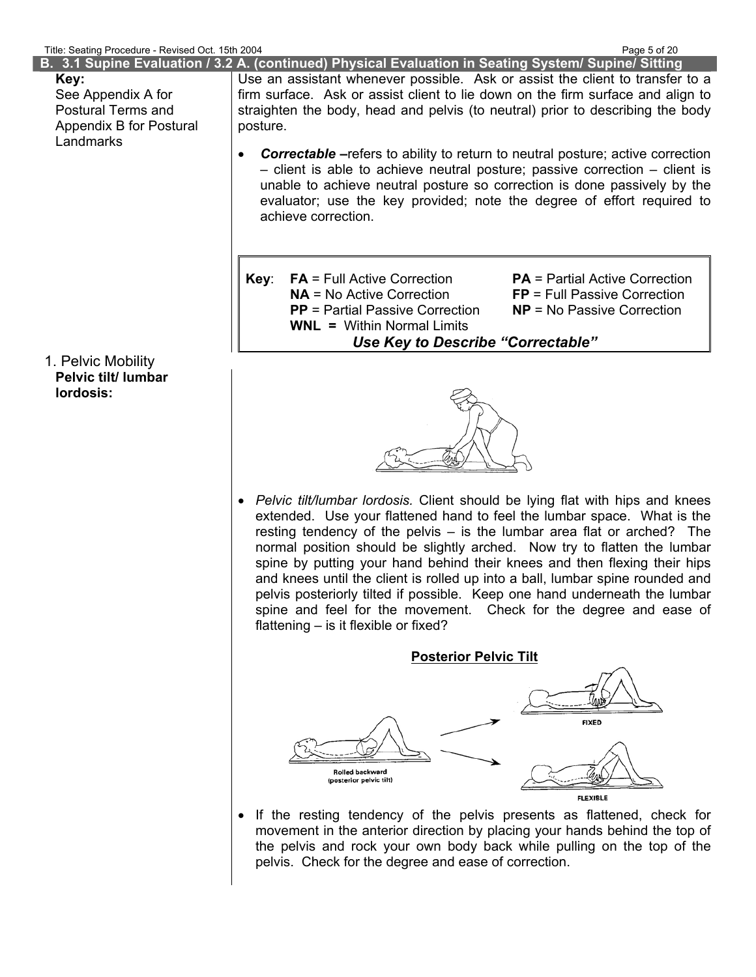I

| The beams roceant review our remport |                                                                                        |                                                                                                      |                                       |  |
|--------------------------------------|----------------------------------------------------------------------------------------|------------------------------------------------------------------------------------------------------|---------------------------------------|--|
|                                      |                                                                                        | B. 3.1 Supine Evaluation / 3.2 A. (continued) Physical Evaluation in Seating System/ Supine/ Sitting |                                       |  |
| Key:                                 |                                                                                        | Use an assistant whenever possible. Ask or assist the client to transfer to a                        |                                       |  |
| See Appendix A for                   | firm surface. Ask or assist client to lie down on the firm surface and align to        |                                                                                                      |                                       |  |
| <b>Postural Terms and</b>            |                                                                                        |                                                                                                      |                                       |  |
| Appendix B for Postural              | posture.                                                                               | straighten the body, head and pelvis (to neutral) prior to describing the body                       |                                       |  |
| Landmarks                            |                                                                                        |                                                                                                      |                                       |  |
|                                      | <b>Correctable</b> – refers to ability to return to neutral posture; active correction |                                                                                                      |                                       |  |
|                                      |                                                                                        | $-$ client is able to achieve neutral posture; passive correction $-$ client is                      |                                       |  |
|                                      |                                                                                        | unable to achieve neutral posture so correction is done passively by the                             |                                       |  |
|                                      |                                                                                        | evaluator; use the key provided; note the degree of effort required to                               |                                       |  |
|                                      |                                                                                        | achieve correction.                                                                                  |                                       |  |
|                                      |                                                                                        |                                                                                                      |                                       |  |
|                                      |                                                                                        |                                                                                                      |                                       |  |
|                                      |                                                                                        |                                                                                                      |                                       |  |
|                                      | Key:                                                                                   | <b>FA</b> = Full Active Correction                                                                   | <b>PA</b> = Partial Active Correction |  |
|                                      |                                                                                        | $NA = No$ Active Correction                                                                          | $FP = Full Passive Correction$        |  |
|                                      |                                                                                        | <b>PP</b> = Partial Passive Correction                                                               | $NP = No$ Passive Correction          |  |
|                                      |                                                                                        | <b>WNL = Within Normal Limits</b>                                                                    |                                       |  |
|                                      | Use Key to Describe "Correctable"                                                      |                                                                                                      |                                       |  |
| 1. Pelvic Mobility                   |                                                                                        |                                                                                                      |                                       |  |
| Pelvic tilt/ lumbar                  |                                                                                        |                                                                                                      |                                       |  |
| lordosis:                            |                                                                                        |                                                                                                      |                                       |  |
|                                      |                                                                                        |                                                                                                      |                                       |  |
|                                      |                                                                                        |                                                                                                      |                                       |  |
|                                      |                                                                                        |                                                                                                      |                                       |  |
|                                      |                                                                                        |                                                                                                      |                                       |  |
|                                      |                                                                                        |                                                                                                      |                                       |  |
|                                      |                                                                                        |                                                                                                      |                                       |  |
|                                      |                                                                                        | • Pelvic tilt/lumbar lordosis. Client should be lying flat with hips and knees                       |                                       |  |
|                                      |                                                                                        | extended. Use your flattened hand to feel the lumbar space. What is the                              |                                       |  |
|                                      |                                                                                        | resting tendency of the pelvis $-$ is the lumbar area flat or arched? The                            |                                       |  |
|                                      |                                                                                        | normal position should be slightly arched. Now try to flatten the lumbar                             |                                       |  |
|                                      |                                                                                        | spine by putting your hand behind their knees and then flexing their hips                            |                                       |  |
|                                      |                                                                                        | and knees until the client is rolled up into a ball, lumbar spine rounded and                        |                                       |  |



• If the resting tendency of the pelvis presents as flattened, check for movement in the anterior direction by placing your hands behind the top of the pelvis and rock your own body back while pulling on the top of the pelvis. Check for the degree and ease of correction.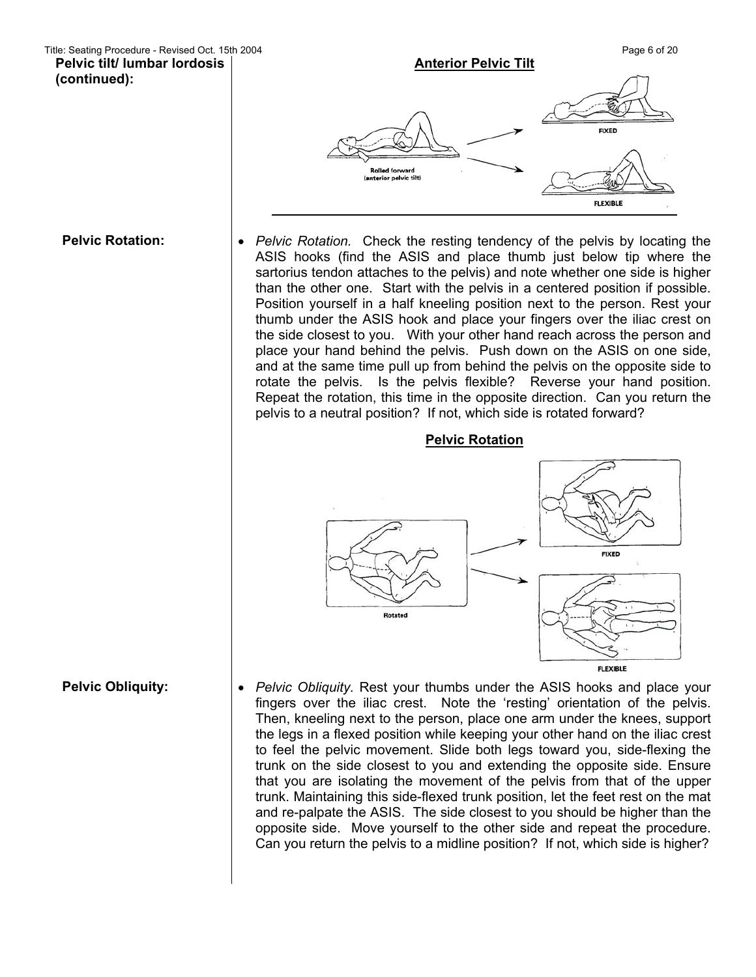**Pelvic tilt/ lumbar lordosis (continued):** 



**Pelvic Rotation:**  $\cdot$  **•** *Pelvic Rotation.* Check the resting tendency of the pelvis by locating the ASIS hooks (find the ASIS and place thumb just below tip where the sartorius tendon attaches to the pelvis) and note whether one side is higher than the other one. Start with the pelvis in a centered position if possible. Position yourself in a half kneeling position next to the person. Rest your thumb under the ASIS hook and place your fingers over the iliac crest on the side closest to you. With your other hand reach across the person and place your hand behind the pelvis. Push down on the ASIS on one side, and at the same time pull up from behind the pelvis on the opposite side to rotate the pelvis. Is the pelvis flexible? Reverse your hand position. Repeat the rotation, this time in the opposite direction. Can you return the pelvis to a neutral position? If not, which side is rotated forward?



fingers over the iliac crest. Note the 'resting' orientation of the pelvis. Then, kneeling next to the person, place one arm under the knees, support the legs in a flexed position while keeping your other hand on the iliac crest to feel the pelvic movement. Slide both legs toward you, side-flexing the trunk on the side closest to you and extending the opposite side. Ensure that you are isolating the movement of the pelvis from that of the upper trunk. Maintaining this side-flexed trunk position, let the feet rest on the mat and re-palpate the ASIS. The side closest to you should be higher than the opposite side. Move yourself to the other side and repeat the procedure. Can you return the pelvis to a midline position? If not, which side is higher?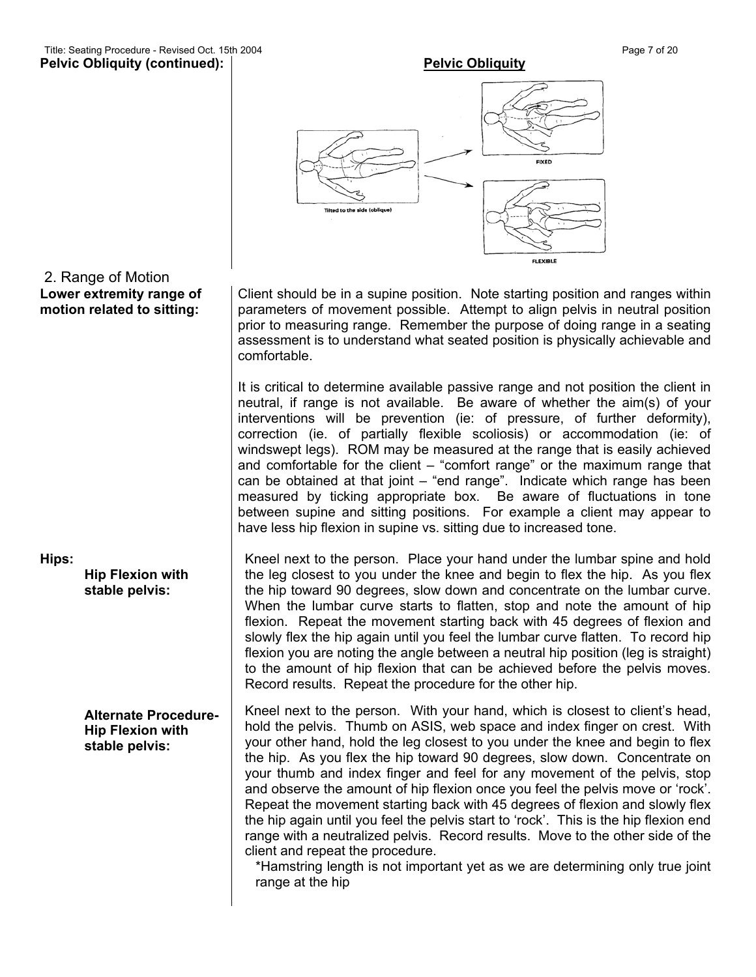# Title: Seating Procedure - Revised Oct. 15th 2004 **Page 7** of 20



### Client should be in a supine position. Note starting position and ranges within parameters of movement possible. Attempt to align pelvis in neutral position prior to measuring range. Remember the purpose of doing range in a seating assessment is to understand what seated position is physically achievable and comfortable.

It is critical to determine available passive range and not position the client in neutral, if range is not available. Be aware of whether the aim(s) of your interventions will be prevention (ie: of pressure, of further deformity), correction (ie. of partially flexible scoliosis) or accommodation (ie: of windswept legs). ROM may be measured at the range that is easily achieved and comfortable for the client – "comfort range" or the maximum range that can be obtained at that joint – "end range". Indicate which range has been measured by ticking appropriate box. Be aware of fluctuations in tone between supine and sitting positions. For example a client may appear to have less hip flexion in supine vs. sitting due to increased tone.

Kneel next to the person. Place your hand under the lumbar spine and hold the leg closest to you under the knee and begin to flex the hip. As you flex the hip toward 90 degrees, slow down and concentrate on the lumbar curve. When the lumbar curve starts to flatten, stop and note the amount of hip flexion. Repeat the movement starting back with 45 degrees of flexion and slowly flex the hip again until you feel the lumbar curve flatten. To record hip flexion you are noting the angle between a neutral hip position (leg is straight) to the amount of hip flexion that can be achieved before the pelvis moves. Record results. Repeat the procedure for the other hip.

Kneel next to the person. With your hand, which is closest to client's head, hold the pelvis. Thumb on ASIS, web space and index finger on crest. With your other hand, hold the leg closest to you under the knee and begin to flex the hip. As you flex the hip toward 90 degrees, slow down. Concentrate on your thumb and index finger and feel for any movement of the pelvis, stop and observe the amount of hip flexion once you feel the pelvis move or 'rock'. Repeat the movement starting back with 45 degrees of flexion and slowly flex the hip again until you feel the pelvis start to 'rock'. This is the hip flexion end range with a neutralized pelvis. Record results. Move to the other side of the client and repeat the procedure.

\*Hamstring length is not important yet as we are determining only true joint range at the hip

## 2. Range of Motion **Lower extremity range of motion related to sitting:**

**Hips:** 

**Hip Flexion with stable pelvis:**

**Alternate Procedure-Hip Flexion with stable pelvis:**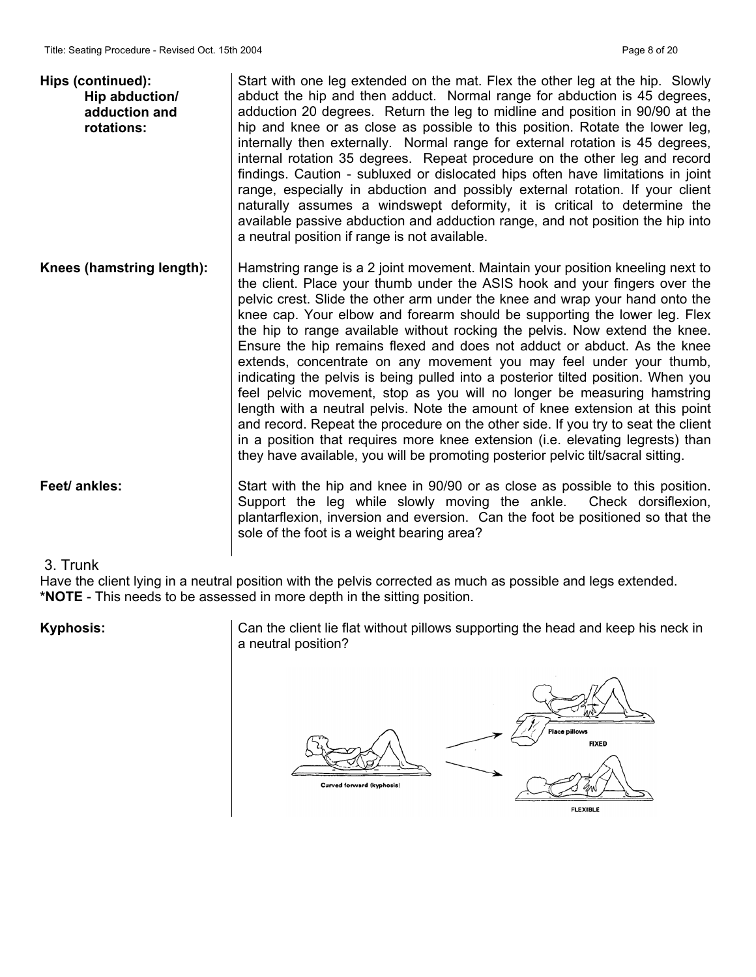| Hips (continued):<br>Hip abduction/<br>adduction and<br>rotations: | Start with one leg extended on the mat. Flex the other leg at the hip. Slowly<br>abduct the hip and then adduct. Normal range for abduction is 45 degrees,<br>adduction 20 degrees. Return the leg to midline and position in 90/90 at the<br>hip and knee or as close as possible to this position. Rotate the lower leg,<br>internally then externally. Normal range for external rotation is 45 degrees,<br>internal rotation 35 degrees. Repeat procedure on the other leg and record<br>findings. Caution - subluxed or dislocated hips often have limitations in joint<br>range, especially in abduction and possibly external rotation. If your client<br>naturally assumes a windswept deformity, it is critical to determine the<br>available passive abduction and adduction range, and not position the hip into<br>a neutral position if range is not available.                                                                                                                                                                                           |
|--------------------------------------------------------------------|------------------------------------------------------------------------------------------------------------------------------------------------------------------------------------------------------------------------------------------------------------------------------------------------------------------------------------------------------------------------------------------------------------------------------------------------------------------------------------------------------------------------------------------------------------------------------------------------------------------------------------------------------------------------------------------------------------------------------------------------------------------------------------------------------------------------------------------------------------------------------------------------------------------------------------------------------------------------------------------------------------------------------------------------------------------------|
| Knees (hamstring length):                                          | Hamstring range is a 2 joint movement. Maintain your position kneeling next to<br>the client. Place your thumb under the ASIS hook and your fingers over the<br>pelvic crest. Slide the other arm under the knee and wrap your hand onto the<br>knee cap. Your elbow and forearm should be supporting the lower leg. Flex<br>the hip to range available without rocking the pelvis. Now extend the knee.<br>Ensure the hip remains flexed and does not adduct or abduct. As the knee<br>extends, concentrate on any movement you may feel under your thumb,<br>indicating the pelvis is being pulled into a posterior tilted position. When you<br>feel pelvic movement, stop as you will no longer be measuring hamstring<br>length with a neutral pelvis. Note the amount of knee extension at this point<br>and record. Repeat the procedure on the other side. If you try to seat the client<br>in a position that requires more knee extension (i.e. elevating legrests) than<br>they have available, you will be promoting posterior pelvic tilt/sacral sitting. |
| Feet/ ankles:                                                      | Start with the hip and knee in 90/90 or as close as possible to this position.<br>Support the leg while slowly moving the ankle. Check dorsiflexion,<br>plantarflexion, inversion and eversion. Can the foot be positioned so that the<br>sole of the foot is a weight bearing area?                                                                                                                                                                                                                                                                                                                                                                                                                                                                                                                                                                                                                                                                                                                                                                                   |
| $\Omega$ Two sets                                                  |                                                                                                                                                                                                                                                                                                                                                                                                                                                                                                                                                                                                                                                                                                                                                                                                                                                                                                                                                                                                                                                                        |

### 3. Trunk

Have the client lying in a neutral position with the pelvis corrected as much as possible and legs extended. **\*NOTE** - This needs to be assessed in more depth in the sitting position.

Kyphosis: <br> Can the client lie flat without pillows supporting the head and keep his neck in a neutral position?

Curved forward (kyphosis)

**FIXED FLEXIBLE**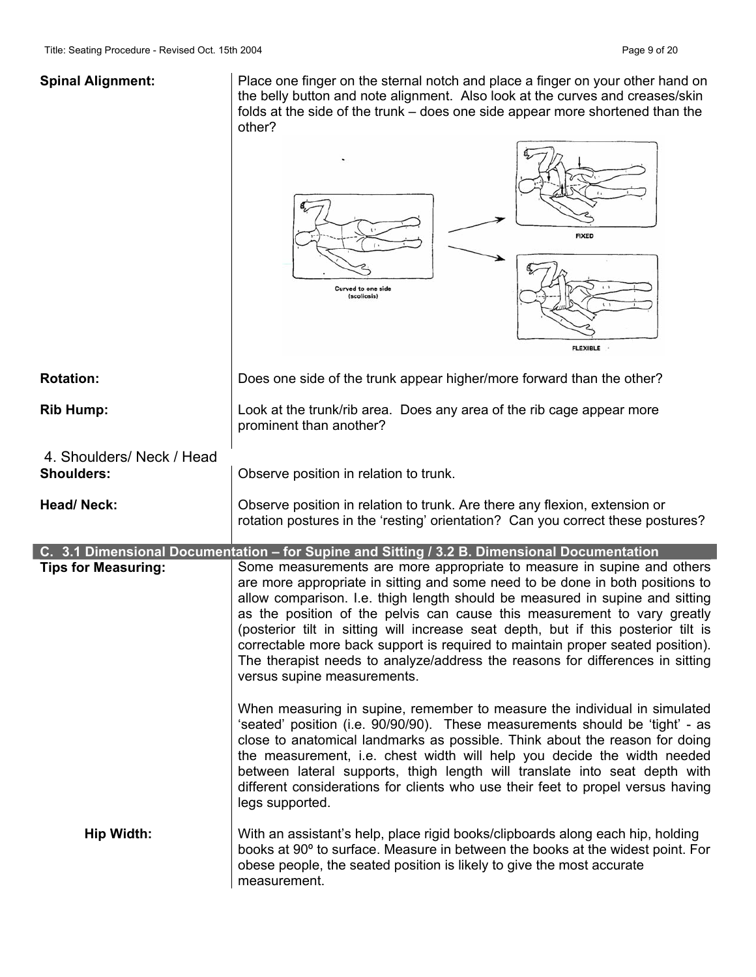**Spinal Alignment:** Place one finger on the sternal notch and place a finger on your other hand on the belly button and note alignment. Also look at the curves and creases/skin folds at the side of the trunk – does one side appear more shortened than the other?

|                            | <b>FIXED</b><br>Curved to one side<br>(scoliosis)<br><b>FLEXIBLE</b>                                                                                                                                                                                                                                                                                                                                                                                                                                                                                                                                        |
|----------------------------|-------------------------------------------------------------------------------------------------------------------------------------------------------------------------------------------------------------------------------------------------------------------------------------------------------------------------------------------------------------------------------------------------------------------------------------------------------------------------------------------------------------------------------------------------------------------------------------------------------------|
| <b>Rotation:</b>           | Does one side of the trunk appear higher/more forward than the other?                                                                                                                                                                                                                                                                                                                                                                                                                                                                                                                                       |
| <b>Rib Hump:</b>           | Look at the trunk/rib area. Does any area of the rib cage appear more<br>prominent than another?                                                                                                                                                                                                                                                                                                                                                                                                                                                                                                            |
| 4. Shoulders/ Neck / Head  |                                                                                                                                                                                                                                                                                                                                                                                                                                                                                                                                                                                                             |
| <b>Shoulders:</b>          | Observe position in relation to trunk.                                                                                                                                                                                                                                                                                                                                                                                                                                                                                                                                                                      |
| <b>Head/Neck:</b>          | Observe position in relation to trunk. Are there any flexion, extension or<br>rotation postures in the 'resting' orientation? Can you correct these postures?                                                                                                                                                                                                                                                                                                                                                                                                                                               |
|                            | C. 3.1 Dimensional Documentation - for Supine and Sitting / 3.2 B. Dimensional Documentation                                                                                                                                                                                                                                                                                                                                                                                                                                                                                                                |
| <b>Tips for Measuring:</b> | Some measurements are more appropriate to measure in supine and others<br>are more appropriate in sitting and some need to be done in both positions to<br>allow comparison. I.e. thigh length should be measured in supine and sitting<br>as the position of the pelvis can cause this measurement to vary greatly<br>(posterior tilt in sitting will increase seat depth, but if this posterior tilt is<br>correctable more back support is required to maintain proper seated position).<br>The therapist needs to analyze/address the reasons for differences in sitting<br>versus supine measurements. |
|                            | When measuring in supine, remember to measure the individual in simulated<br>'seated' position (i.e. 90/90/90). These measurements should be 'tight' - as<br>close to anatomical landmarks as possible. Think about the reason for doing<br>the measurement, i.e. chest width will help you decide the width needed<br>between lateral supports, thigh length will translate into seat depth with<br>different considerations for clients who use their feet to propel versus having<br>legs supported.                                                                                                     |
| <b>Hip Width:</b>          | With an assistant's help, place rigid books/clipboards along each hip, holding<br>books at 90° to surface. Measure in between the books at the widest point. For<br>obese people, the seated position is likely to give the most accurate<br>measurement.                                                                                                                                                                                                                                                                                                                                                   |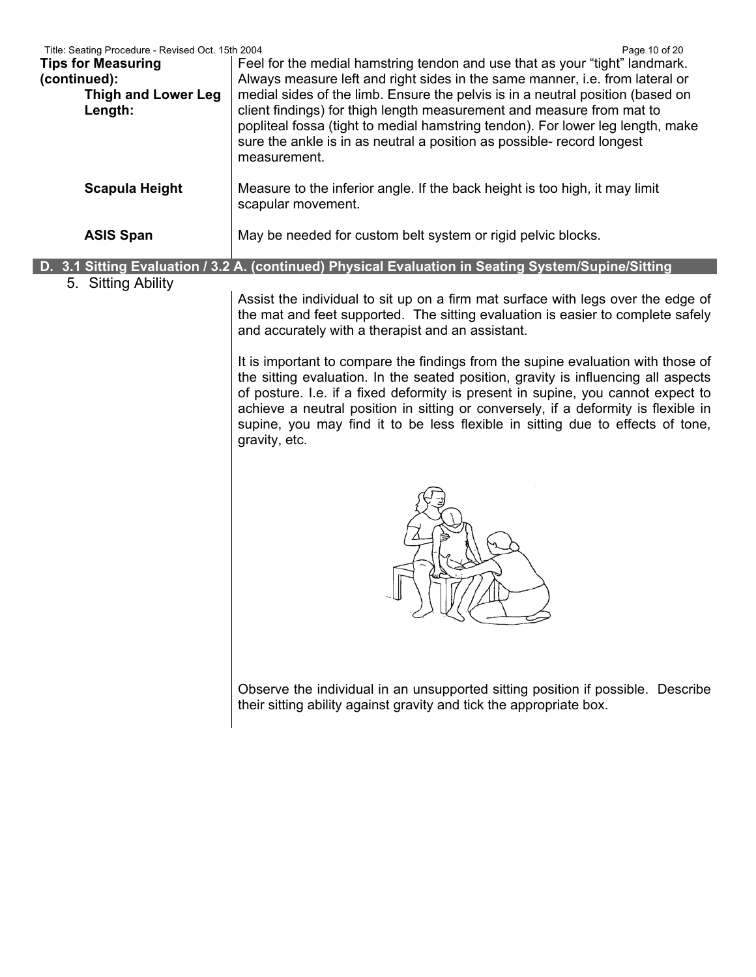| Title: Seating Procedure - Revised Oct. 15th 2004<br><b>Tips for Measuring</b><br>(continued):<br><b>Thigh and Lower Leg</b><br>Length: | Page 10 of 20<br>Feel for the medial hamstring tendon and use that as your "tight" landmark.<br>Always measure left and right sides in the same manner, i.e. from lateral or<br>medial sides of the limb. Ensure the pelvis is in a neutral position (based on<br>client findings) for thigh length measurement and measure from mat to<br>popliteal fossa (tight to medial hamstring tendon). For lower leg length, make<br>sure the ankle is in as neutral a position as possible- record longest<br>measurement. |
|-----------------------------------------------------------------------------------------------------------------------------------------|---------------------------------------------------------------------------------------------------------------------------------------------------------------------------------------------------------------------------------------------------------------------------------------------------------------------------------------------------------------------------------------------------------------------------------------------------------------------------------------------------------------------|
| <b>Scapula Height</b>                                                                                                                   | Measure to the inferior angle. If the back height is too high, it may limit<br>scapular movement.                                                                                                                                                                                                                                                                                                                                                                                                                   |
| <b>ASIS Span</b>                                                                                                                        | May be needed for custom belt system or rigid pelvic blocks.                                                                                                                                                                                                                                                                                                                                                                                                                                                        |
| 5. Sitting Ability                                                                                                                      | D. 3.1 Sitting Evaluation / 3.2 A. (continued) Physical Evaluation in Seating System/Supine/Sitting                                                                                                                                                                                                                                                                                                                                                                                                                 |
|                                                                                                                                         | Assist the individual to sit up on a firm mat surface with legs over the edge of<br>the mat and feet supported. The sitting evaluation is easier to complete safely<br>and accurately with a therapist and an assistant.                                                                                                                                                                                                                                                                                            |
|                                                                                                                                         | It is important to compare the findings from the supine evaluation with those of<br>the sitting evaluation. In the seated position, gravity is influencing all aspects<br>of posture. I.e. if a fixed deformity is present in supine, you cannot expect to<br>achieve a neutral position in sitting or conversely, if a deformity is flexible in<br>supine, you may find it to be less flexible in sitting due to effects of tone,<br>gravity, etc.                                                                 |
|                                                                                                                                         |                                                                                                                                                                                                                                                                                                                                                                                                                                                                                                                     |
|                                                                                                                                         | Observe the individual in an unsupported sitting position if possible. Describe<br>their sitting ability against gravity and tick the appropriate box.                                                                                                                                                                                                                                                                                                                                                              |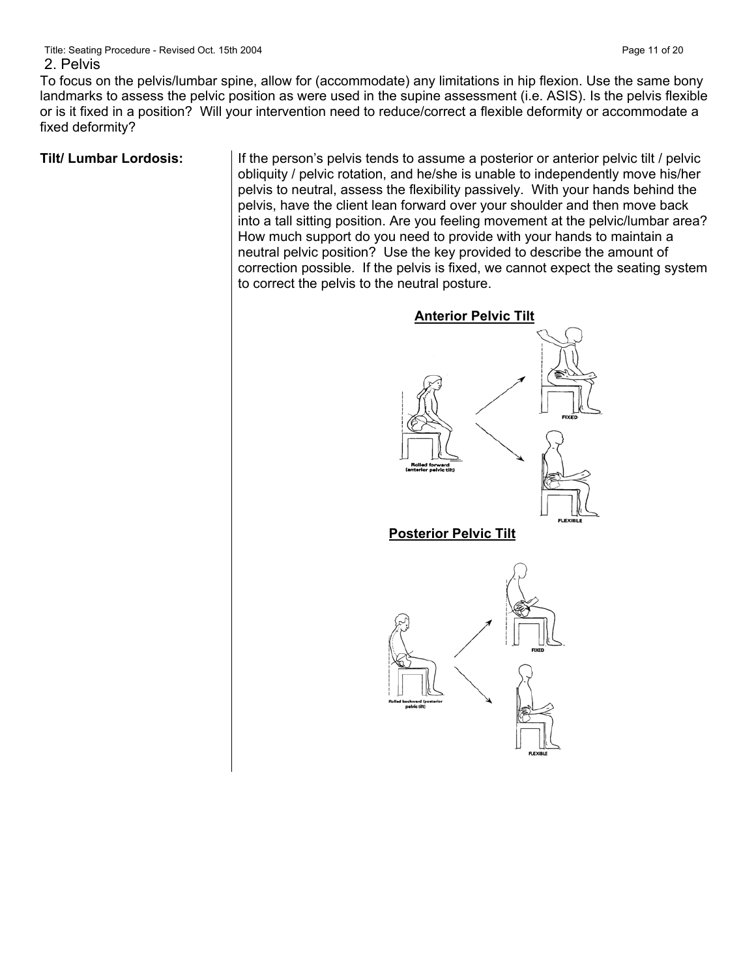To focus on the pelvis/lumbar spine, allow for (accommodate) any limitations in hip flexion. Use the same bony landmarks to assess the pelvic position as were used in the supine assessment (i.e. ASIS). Is the pelvis flexible or is it fixed in a position? Will your intervention need to reduce/correct a flexible deformity or accommodate a fixed deformity?

**Tilt/ Lumbar Lordosis:** If the person's pelvis tends to assume a posterior or anterior pelvic tilt / pelvic obliquity / pelvic rotation, and he/she is unable to independently move his/her pelvis to neutral, assess the flexibility passively. With your hands behind the pelvis, have the client lean forward over your shoulder and then move back into a tall sitting position. Are you feeling movement at the pelvic/lumbar area? How much support do you need to provide with your hands to maintain a neutral pelvic position? Use the key provided to describe the amount of correction possible. If the pelvis is fixed, we cannot expect the seating system to correct the pelvis to the neutral posture.

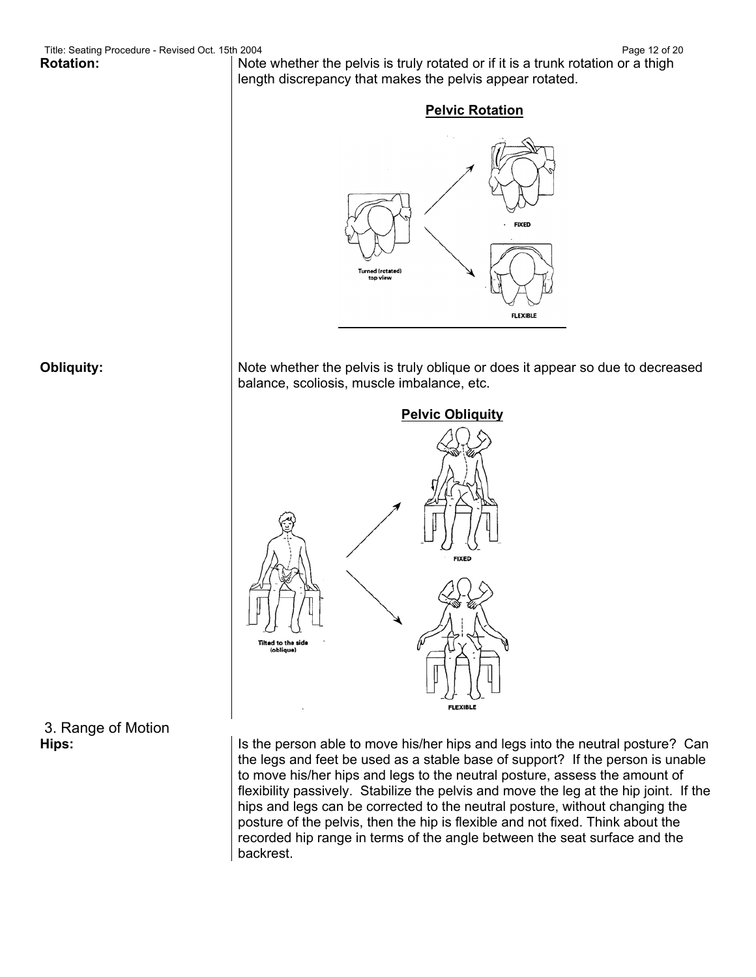**Rotation:** Note whether the pelvis is truly rotated or if it is a trunk rotation or a thigh length discrepancy that makes the pelvis appear rotated.



**Obliquity:** Note whether the pelvis is truly oblique or does it appear so due to decreased balance, scoliosis, muscle imbalance, etc.



3. Range of Motion

**Hips: IS the person able to move his/her hips and legs into the neutral posture? Can** the legs and feet be used as a stable base of support? If the person is unable to move his/her hips and legs to the neutral posture, assess the amount of flexibility passively. Stabilize the pelvis and move the leg at the hip joint. If the hips and legs can be corrected to the neutral posture, without changing the posture of the pelvis, then the hip is flexible and not fixed. Think about the recorded hip range in terms of the angle between the seat surface and the backrest.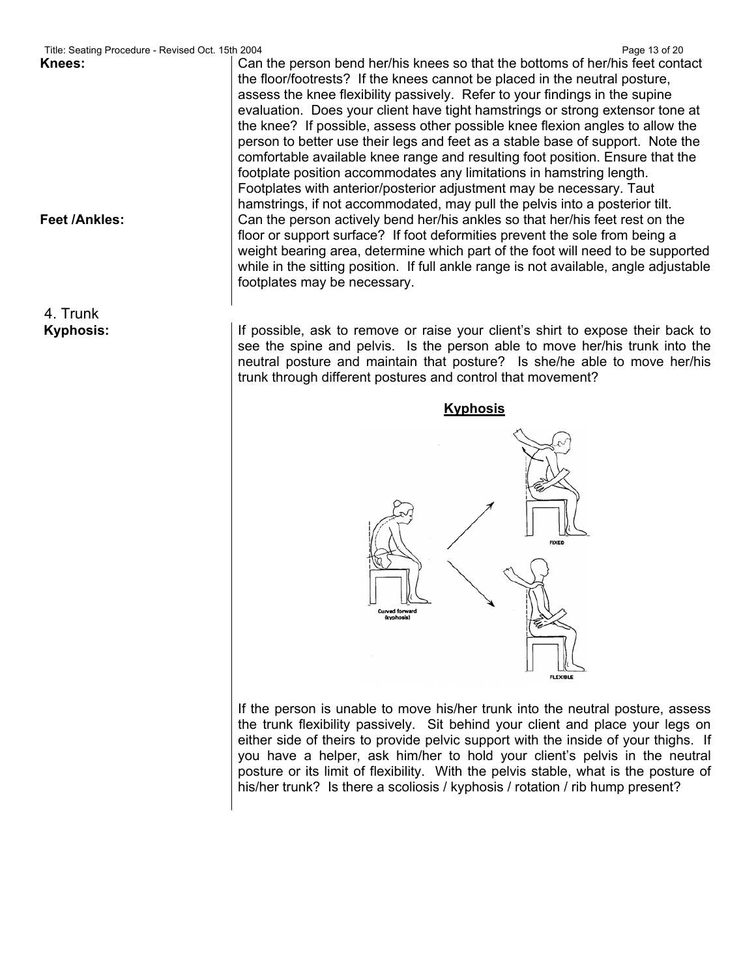4. Trunk

Title: Seating Procedure - Revised Oct. 15th 2004 **Page 13 of 20** Page 13 of 20 **Knees:** Can the person bend her/his knees so that the bottoms of her/his feet contact the floor/footrests? If the knees cannot be placed in the neutral posture, assess the knee flexibility passively. Refer to your findings in the supine evaluation. Does your client have tight hamstrings or strong extensor tone at the knee? If possible, assess other possible knee flexion angles to allow the person to better use their legs and feet as a stable base of support. Note the comfortable available knee range and resulting foot position. Ensure that the footplate position accommodates any limitations in hamstring length. Footplates with anterior/posterior adjustment may be necessary. Taut hamstrings, if not accommodated, may pull the pelvis into a posterior tilt. **Feet /Ankles:** Can the person actively bend her/his ankles so that her/his feet rest on the floor or support surface? If foot deformities prevent the sole from being a weight bearing area, determine which part of the foot will need to be supported while in the sitting position. If full ankle range is not available, angle adjustable footplates may be necessary.

**Kyphosis: If possible, ask to remove or raise your client's shirt to expose their back to remove or raise your client's shirt to expose their back to** see the spine and pelvis. Is the person able to move her/his trunk into the neutral posture and maintain that posture? Is she/he able to move her/his trunk through different postures and control that movement?



If the person is unable to move his/her trunk into the neutral posture, assess the trunk flexibility passively. Sit behind your client and place your legs on either side of theirs to provide pelvic support with the inside of your thighs. If you have a helper, ask him/her to hold your client's pelvis in the neutral posture or its limit of flexibility. With the pelvis stable, what is the posture of his/her trunk? Is there a scoliosis / kyphosis / rotation / rib hump present?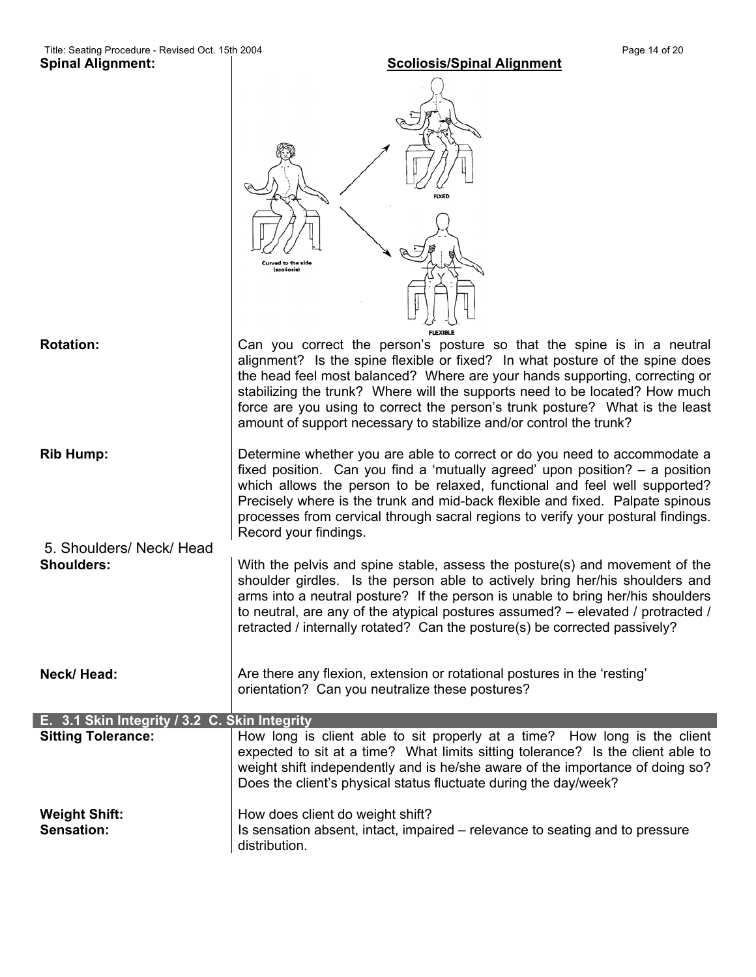|                                               | <b>FIXED</b><br>(scoliosis)                                                                                                                                                                                                                                                                                                                                                                                                                                                |
|-----------------------------------------------|----------------------------------------------------------------------------------------------------------------------------------------------------------------------------------------------------------------------------------------------------------------------------------------------------------------------------------------------------------------------------------------------------------------------------------------------------------------------------|
| <b>Rotation:</b>                              | Can you correct the person's posture so that the spine is in a neutral<br>alignment? Is the spine flexible or fixed? In what posture of the spine does<br>the head feel most balanced? Where are your hands supporting, correcting or<br>stabilizing the trunk? Where will the supports need to be located? How much<br>force are you using to correct the person's trunk posture? What is the least<br>amount of support necessary to stabilize and/or control the trunk? |
| <b>Rib Hump:</b>                              | Determine whether you are able to correct or do you need to accommodate a<br>fixed position. Can you find a 'mutually agreed' upon position? - a position<br>which allows the person to be relaxed, functional and feel well supported?<br>Precisely where is the trunk and mid-back flexible and fixed. Palpate spinous<br>processes from cervical through sacral regions to verify your postural findings.<br>Record your findings.                                      |
| 5. Shoulders/ Neck/ Head<br><b>Shoulders:</b> | With the pelvis and spine stable, assess the posture(s) and movement of the<br>shoulder girdles. Is the person able to actively bring her/his shoulders and<br>arms into a neutral posture? If the person is unable to bring her/his shoulders<br>to neutral, are any of the atypical postures assumed? – elevated / protracted /<br>retracted / internally rotated? Can the posture(s) be corrected passively?                                                            |
| Neck/Head:                                    | Are there any flexion, extension or rotational postures in the 'resting'<br>orientation? Can you neutralize these postures?                                                                                                                                                                                                                                                                                                                                                |
| E. 3.1 Skin Integrity / 3.2 C. Skin Integrity |                                                                                                                                                                                                                                                                                                                                                                                                                                                                            |
| <b>Sitting Tolerance:</b>                     | How long is client able to sit properly at a time? How long is the client<br>expected to sit at a time? What limits sitting tolerance? Is the client able to<br>weight shift independently and is he/she aware of the importance of doing so?<br>Does the client's physical status fluctuate during the day/week?                                                                                                                                                          |
| <b>Weight Shift:</b><br>Sensation:            | How does client do weight shift?<br>Is sensation absent, intact, impaired – relevance to seating and to pressure<br>distribution.                                                                                                                                                                                                                                                                                                                                          |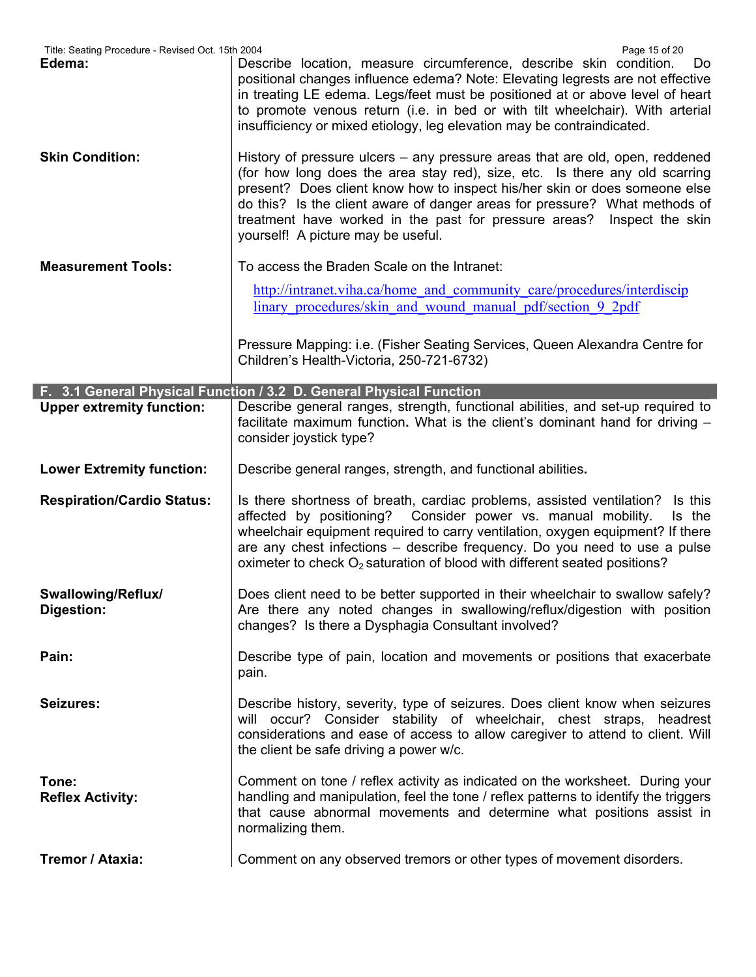| Title: Seating Procedure - Revised Oct. 15th 2004<br>Edema: | Page 15 of 20<br>Describe location, measure circumference, describe skin condition.<br>Do.<br>positional changes influence edema? Note: Elevating legrests are not effective<br>in treating LE edema. Legs/feet must be positioned at or above level of heart<br>to promote venous return (i.e. in bed or with tilt wheelchair). With arterial<br>insufficiency or mixed etiology, leg elevation may be contraindicated.                |
|-------------------------------------------------------------|-----------------------------------------------------------------------------------------------------------------------------------------------------------------------------------------------------------------------------------------------------------------------------------------------------------------------------------------------------------------------------------------------------------------------------------------|
| <b>Skin Condition:</b>                                      | History of pressure ulcers – any pressure areas that are old, open, reddened<br>(for how long does the area stay red), size, etc. Is there any old scarring<br>present? Does client know how to inspect his/her skin or does someone else<br>do this? Is the client aware of danger areas for pressure? What methods of<br>treatment have worked in the past for pressure areas? Inspect the skin<br>yourself! A picture may be useful. |
| <b>Measurement Tools:</b>                                   | To access the Braden Scale on the Intranet:                                                                                                                                                                                                                                                                                                                                                                                             |
|                                                             | http://intranet.viha.ca/home and community care/procedures/interdiscip<br>linary procedures/skin and wound manual pdf/section 9 2pdf                                                                                                                                                                                                                                                                                                    |
|                                                             | Pressure Mapping: i.e. (Fisher Seating Services, Queen Alexandra Centre for<br>Children's Health-Victoria, 250-721-6732)                                                                                                                                                                                                                                                                                                                |
|                                                             | F. 3.1 General Physical Function / 3.2 D. General Physical Function                                                                                                                                                                                                                                                                                                                                                                     |
| <b>Upper extremity function:</b>                            | Describe general ranges, strength, functional abilities, and set-up required to<br>facilitate maximum function. What is the client's dominant hand for driving -<br>consider joystick type?                                                                                                                                                                                                                                             |
| <b>Lower Extremity function:</b>                            | Describe general ranges, strength, and functional abilities.                                                                                                                                                                                                                                                                                                                                                                            |
| <b>Respiration/Cardio Status:</b>                           | Is there shortness of breath, cardiac problems, assisted ventilation?<br>Is this<br>affected by positioning? Consider power vs. manual mobility.<br>Is the<br>wheelchair equipment required to carry ventilation, oxygen equipment? If there<br>are any chest infections – describe frequency. Do you need to use a pulse<br>oximeter to check O <sub>2</sub> saturation of blood with different seated positions?                      |
| Swallowing/Reflux/<br>Digestion:                            | Does client need to be better supported in their wheelchair to swallow safely?<br>Are there any noted changes in swallowing/reflux/digestion with position<br>changes? Is there a Dysphagia Consultant involved?                                                                                                                                                                                                                        |
| Pain:                                                       | Describe type of pain, location and movements or positions that exacerbate<br>pain.                                                                                                                                                                                                                                                                                                                                                     |
| Seizures:                                                   | Describe history, severity, type of seizures. Does client know when seizures<br>will occur? Consider stability of wheelchair, chest straps, headrest<br>considerations and ease of access to allow caregiver to attend to client. Will<br>the client be safe driving a power w/c.                                                                                                                                                       |
| Tone:<br><b>Reflex Activity:</b>                            | Comment on tone / reflex activity as indicated on the worksheet. During your<br>handling and manipulation, feel the tone / reflex patterns to identify the triggers<br>that cause abnormal movements and determine what positions assist in<br>normalizing them.                                                                                                                                                                        |
| Tremor / Ataxia:                                            | Comment on any observed tremors or other types of movement disorders.                                                                                                                                                                                                                                                                                                                                                                   |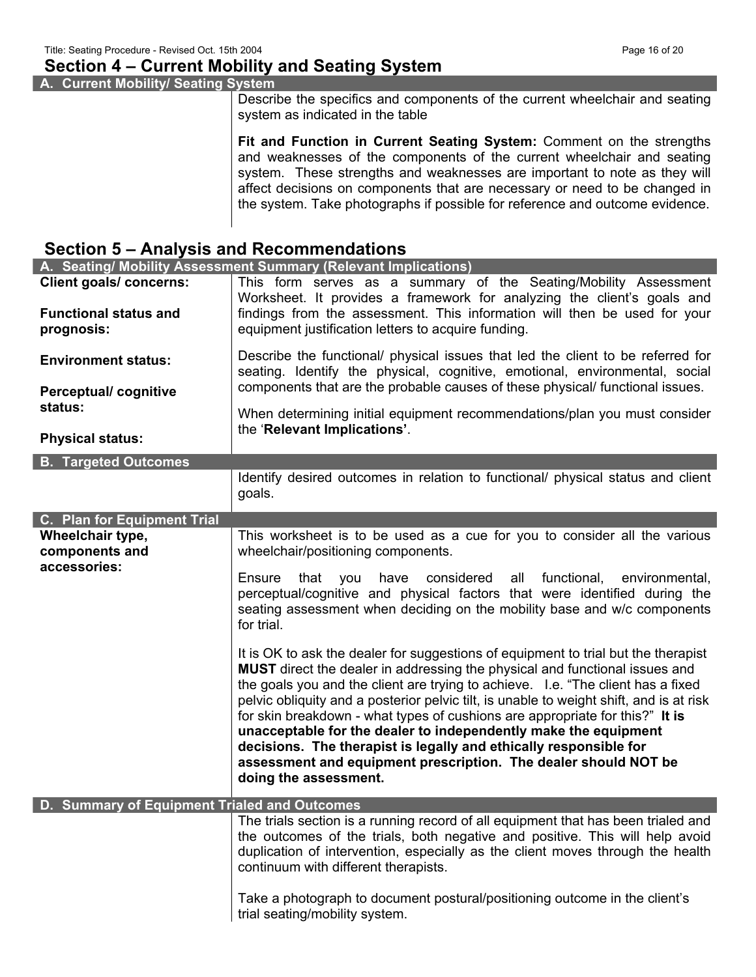## **Section 4 – Current Mobility and Seating System**

**A. Current Mobility/ Seating System** 

Describe the specifics and components of the current wheelchair and seating system as indicated in the table

**Fit and Function in Current Seating System:** Comment on the strengths and weaknesses of the components of the current wheelchair and seating system. These strengths and weaknesses are important to note as they will affect decisions on components that are necessary or need to be changed in the system. Take photographs if possible for reference and outcome evidence.

## **Section 5 – Analysis and Recommendations**

|                                                                | A. Seating/ Mobility Assessment Summary (Relevant Implications)                                                                                                                                                                                                                                                                                                                                                                                                                                                                                                                                                                                                      |
|----------------------------------------------------------------|----------------------------------------------------------------------------------------------------------------------------------------------------------------------------------------------------------------------------------------------------------------------------------------------------------------------------------------------------------------------------------------------------------------------------------------------------------------------------------------------------------------------------------------------------------------------------------------------------------------------------------------------------------------------|
| <b>Client goals/ concerns:</b><br><b>Functional status and</b> | This form serves as a summary of the Seating/Mobility Assessment<br>Worksheet. It provides a framework for analyzing the client's goals and<br>findings from the assessment. This information will then be used for your                                                                                                                                                                                                                                                                                                                                                                                                                                             |
| prognosis:                                                     | equipment justification letters to acquire funding.                                                                                                                                                                                                                                                                                                                                                                                                                                                                                                                                                                                                                  |
| <b>Environment status:</b>                                     | Describe the functional/ physical issues that led the client to be referred for<br>seating. Identify the physical, cognitive, emotional, environmental, social                                                                                                                                                                                                                                                                                                                                                                                                                                                                                                       |
| <b>Perceptual/cognitive</b><br>status:                         | components that are the probable causes of these physical/ functional issues.                                                                                                                                                                                                                                                                                                                                                                                                                                                                                                                                                                                        |
| <b>Physical status:</b>                                        | When determining initial equipment recommendations/plan you must consider<br>the 'Relevant Implications'.                                                                                                                                                                                                                                                                                                                                                                                                                                                                                                                                                            |
| <b>B. Targeted Outcomes</b>                                    |                                                                                                                                                                                                                                                                                                                                                                                                                                                                                                                                                                                                                                                                      |
|                                                                | Identify desired outcomes in relation to functional/ physical status and client<br>goals.                                                                                                                                                                                                                                                                                                                                                                                                                                                                                                                                                                            |
| C. Plan for Equipment Trial                                    |                                                                                                                                                                                                                                                                                                                                                                                                                                                                                                                                                                                                                                                                      |
| Wheelchair type,<br>components and<br>accessories:             | This worksheet is to be used as a cue for you to consider all the various<br>wheelchair/positioning components.                                                                                                                                                                                                                                                                                                                                                                                                                                                                                                                                                      |
|                                                                | have considered all functional,<br>Ensure<br>that you<br>environmental,<br>perceptual/cognitive and physical factors that were identified during the<br>seating assessment when deciding on the mobility base and w/c components<br>for trial.                                                                                                                                                                                                                                                                                                                                                                                                                       |
|                                                                | It is OK to ask the dealer for suggestions of equipment to trial but the therapist<br>MUST direct the dealer in addressing the physical and functional issues and<br>the goals you and the client are trying to achieve. I.e. "The client has a fixed<br>pelvic obliquity and a posterior pelvic tilt, is unable to weight shift, and is at risk<br>for skin breakdown - what types of cushions are appropriate for this?" It is<br>unacceptable for the dealer to independently make the equipment<br>decisions. The therapist is legally and ethically responsible for<br>assessment and equipment prescription. The dealer should NOT be<br>doing the assessment. |
| D. Summary of Equipment Trialed and Outcomes                   |                                                                                                                                                                                                                                                                                                                                                                                                                                                                                                                                                                                                                                                                      |
|                                                                | The trials section is a running record of all equipment that has been trialed and<br>the outcomes of the trials, both negative and positive. This will help avoid<br>duplication of intervention, especially as the client moves through the health<br>continuum with different therapists.                                                                                                                                                                                                                                                                                                                                                                          |
|                                                                | Take a photograph to document postural/positioning outcome in the client's<br>trial seating/mobility system.                                                                                                                                                                                                                                                                                                                                                                                                                                                                                                                                                         |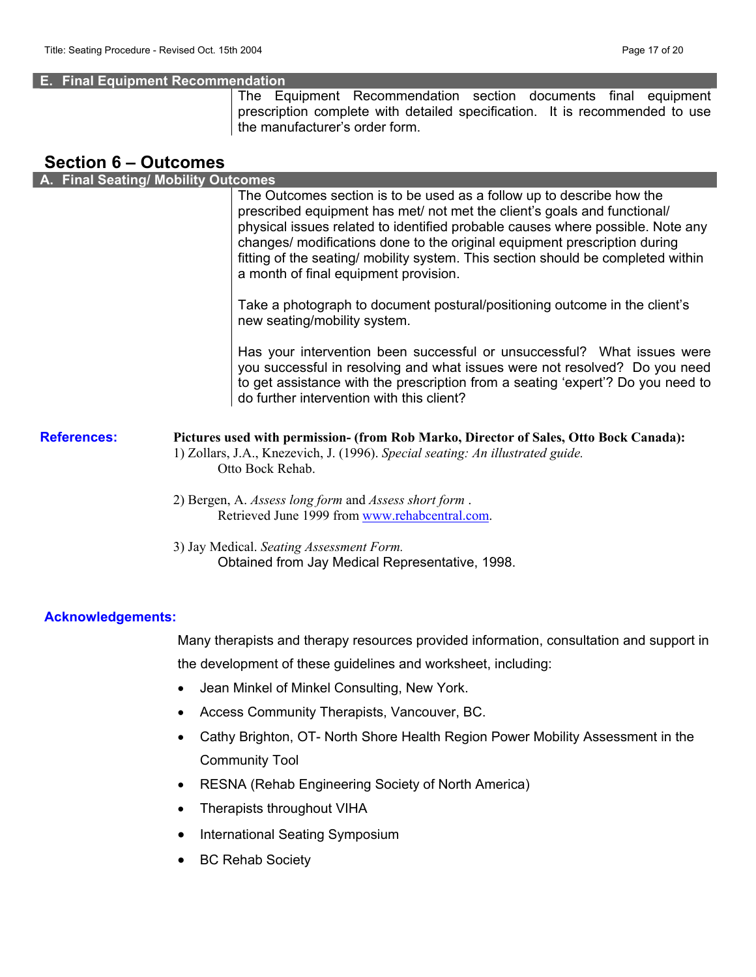#### **E. Final Equipment Recommendation**

The Equipment Recommendation section documents final equipment prescription complete with detailed specification. It is recommended to use the manufacturer's order form.

## **Section 6 – Outcomes**

| A. Final Seating/ Mobility Outcomes |                                                                                                                                                                                                                                                                                                                                                                                                                                               |
|-------------------------------------|-----------------------------------------------------------------------------------------------------------------------------------------------------------------------------------------------------------------------------------------------------------------------------------------------------------------------------------------------------------------------------------------------------------------------------------------------|
|                                     | The Outcomes section is to be used as a follow up to describe how the<br>prescribed equipment has met/ not met the client's goals and functional/<br>physical issues related to identified probable causes where possible. Note any<br>changes/ modifications done to the original equipment prescription during<br>fitting of the seating/ mobility system. This section should be completed within<br>a month of final equipment provision. |
|                                     | Take a photograph to document postural/positioning outcome in the client's<br>new seating/mobility system.                                                                                                                                                                                                                                                                                                                                    |
|                                     | Has your intervention been successful or unsuccessful? What issues were<br>you successful in resolving and what issues were not resolved? Do you need<br>to get assistance with the prescription from a seating 'expert'? Do you need to<br>do further intervention with this client?                                                                                                                                                         |
| <b>References:</b>                  | Pictures used with permission- (from Rob Marko, Director of Sales, Otto Bock Canada):<br>1) Zollars, J.A., Knezevich, J. (1996). Special seating: An illustrated guide.<br>Otto Bock Rehab.                                                                                                                                                                                                                                                   |
|                                     | 2) Bergen, A. Assess long form and Assess short form.<br>Retrieved June 1999 from www.rehabcentral.com.                                                                                                                                                                                                                                                                                                                                       |
|                                     | 3) Jay Medical. Seating Assessment Form.<br>Obtained from Jay Medical Representative, 1998.                                                                                                                                                                                                                                                                                                                                                   |

#### **Acknowledgements:**

Many therapists and therapy resources provided information, consultation and support in the development of these guidelines and worksheet, including:

- Jean Minkel of Minkel Consulting, New York.
- Access Community Therapists, Vancouver, BC.
- Cathy Brighton, OT- North Shore Health Region Power Mobility Assessment in the Community Tool
- RESNA (Rehab Engineering Society of North America)
- Therapists throughout VIHA
- International Seating Symposium
- BC Rehab Society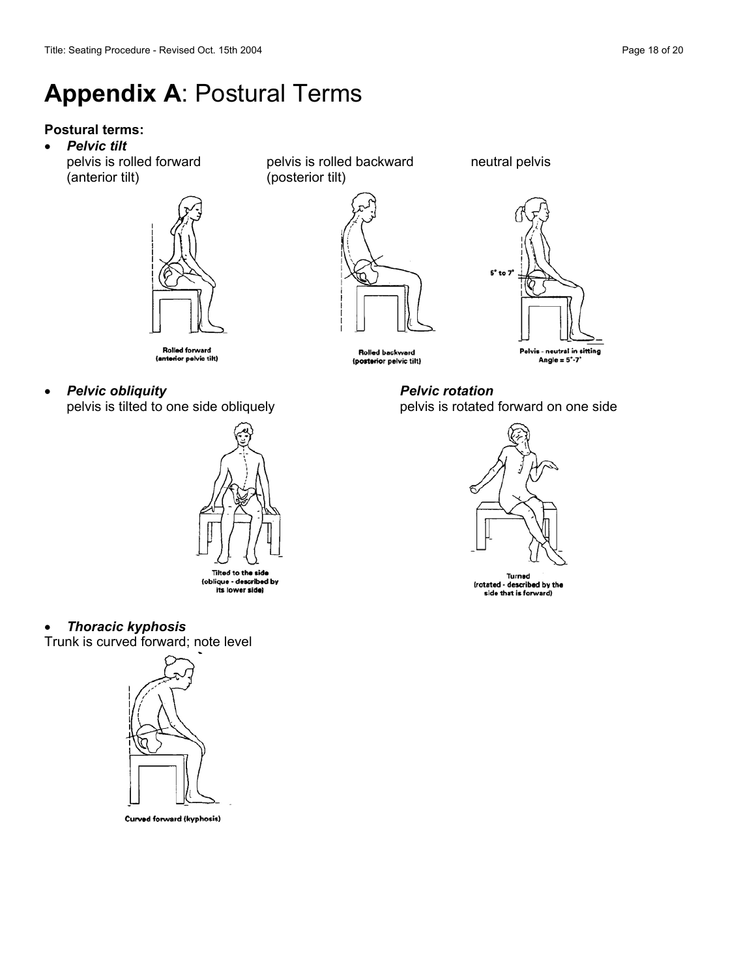# **Appendix A**: Postural Terms

## **Postural terms:**

• *Pelvic tilt* 

(anterior tilt) (posterior tilt)



pelvis is rolled forward pelvis is rolled backward neutral pelvis





Rolled backward (posterior pelvic tilt)

pelvis is rotated forward on one side



Turned (rotated - described by the side that is forward)

- **Rolled forward** (anterior pelvic tilt)
- *Pelvic obliquity Pelvic rotation*



### • *Thoracic kyphosis*

Trunk is curved forward; note level



Curved forward (kyphosis)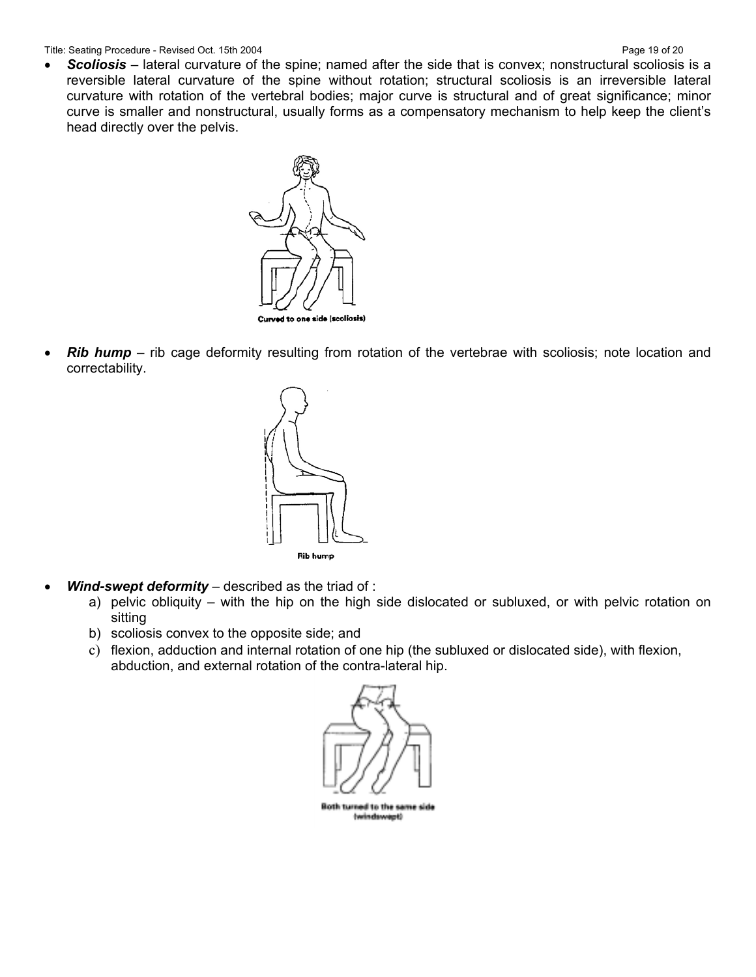Title: Seating Procedure - Revised Oct. 15th 2004 **Page 19 of 20** Page 19 of 20

• *Scoliosis* – lateral curvature of the spine; named after the side that is convex; nonstructural scoliosis is a reversible lateral curvature of the spine without rotation; structural scoliosis is an irreversible lateral curvature with rotation of the vertebral bodies; major curve is structural and of great significance; minor curve is smaller and nonstructural, usually forms as a compensatory mechanism to help keep the client's head directly over the pelvis.



• **Rib hump** – rib cage deformity resulting from rotation of the vertebrae with scoliosis; note location and correctability.



- *Wind-swept deformity* described as the triad of :
	- a) pelvic obliquity with the hip on the high side dislocated or subluxed, or with pelvic rotation on sitting
	- b) scoliosis convex to the opposite side; and
	- c) flexion, adduction and internal rotation of one hip (the subluxed or dislocated side), with flexion, abduction, and external rotation of the contra-lateral hip.